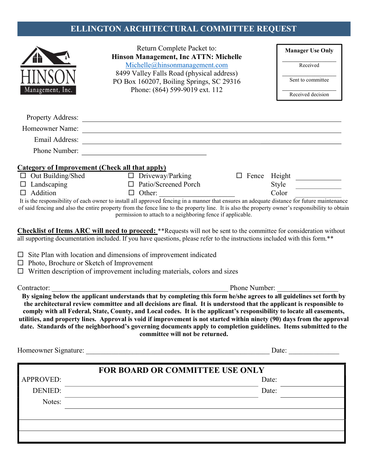## ELLINGTON ARCHITECTURAL COMMITTEE REQUEST

|                                                 | Return Complete Packet to:<br>Hinson Management, Inc ATTN: Michelle<br>Michelle@hinsonmanagement.com<br>8499 Valley Falls Road (physical address)<br>PO Box 160207, Boiling Springs, SC 29316                                                    |               | <b>Manager Use Only</b> |
|-------------------------------------------------|--------------------------------------------------------------------------------------------------------------------------------------------------------------------------------------------------------------------------------------------------|---------------|-------------------------|
|                                                 |                                                                                                                                                                                                                                                  |               | Received                |
|                                                 |                                                                                                                                                                                                                                                  |               | Sent to committee       |
| Management, Inc.                                | Phone: (864) 599-9019 ext. 112                                                                                                                                                                                                                   |               | Received decision       |
|                                                 |                                                                                                                                                                                                                                                  |               |                         |
|                                                 |                                                                                                                                                                                                                                                  |               |                         |
| Homeowner Name:                                 | <u> La Carlo Carlo Carlo Carlo Carlo Carlo Carlo Carlo Carlo Carlo Carlo Carlo Carlo Carlo Carlo Carlo Carlo Car</u>                                                                                                                             |               |                         |
| Email Address:                                  |                                                                                                                                                                                                                                                  |               |                         |
| Phone Number:                                   |                                                                                                                                                                                                                                                  |               |                         |
|                                                 | <b>Category of Improvement (Check all that apply)</b>                                                                                                                                                                                            |               |                         |
| $\Box$ Out Building/Shed                        | $\Box$ Driveway/Parking                                                                                                                                                                                                                          |               |                         |
| $\Box$ Landscaping                              | $\Box$ Patio/Screened Porch                                                                                                                                                                                                                      |               | Style                   |
| $\Box$ Addition                                 | $\Box$ Other:<br>It is the responsibility of each owner to install all approved fencing in a manner that ensures an adequate distance for future maintenance                                                                                     |               | Color                   |
|                                                 | of said fencing and also the entire property from the fence line to the property line. It is also the property owner's responsibility to obtain<br>permission to attach to a neighboring fence if applicable.                                    |               |                         |
|                                                 |                                                                                                                                                                                                                                                  |               |                         |
|                                                 | Checklist of Items ARC will need to proceed: **Requests will not be sent to the committee for consideration without<br>all supporting documentation included. If you have questions, please refer to the instructions included with this form.** |               |                         |
|                                                 |                                                                                                                                                                                                                                                  |               |                         |
|                                                 | $\Box$ Site Plan with location and dimensions of improvement indicated                                                                                                                                                                           |               |                         |
| $\Box$ Photo, Brochure or Sketch of Improvement | $\Box$ Written description of improvement including materials, colors and sizes                                                                                                                                                                  |               |                         |
|                                                 |                                                                                                                                                                                                                                                  |               |                         |
| Contractor:                                     |                                                                                                                                                                                                                                                  | Phone Number: |                         |
|                                                 | By signing below the applicant understands that by completing this form he/she agrees to all guidelines set forth by<br>the architectural review committee and all decisions are final. It is understood that the applicant is responsible to    |               |                         |
|                                                 | comply with all Federal, State, County, and Local codes. It is the applicant's responsibility to locate all easements,                                                                                                                           |               |                         |
|                                                 | utilities, and property lines. Approval is void if improvement is not started within ninety (90) days from the approval                                                                                                                          |               |                         |
|                                                 | date. Standards of the neighborhood's governing documents apply to completion guidelines. Items submitted to the<br>committee will not be returned.                                                                                              |               |                         |
|                                                 |                                                                                                                                                                                                                                                  |               | Date:                   |
|                                                 | <b>FOR BOARD OR COMMITTEE USE ONLY</b>                                                                                                                                                                                                           |               |                         |
| <b>APPROVED:</b>                                |                                                                                                                                                                                                                                                  | Date:         |                         |
| <b>DENIED:</b>                                  |                                                                                                                                                                                                                                                  | Date:         |                         |
| Notes:                                          | <u> 1980 - Johann Barn, amerikansk politiker (d. 1980)</u>                                                                                                                                                                                       |               |                         |
|                                                 |                                                                                                                                                                                                                                                  |               |                         |
|                                                 |                                                                                                                                                                                                                                                  |               |                         |
|                                                 |                                                                                                                                                                                                                                                  |               |                         |
|                                                 |                                                                                                                                                                                                                                                  |               |                         |
|                                                 |                                                                                                                                                                                                                                                  |               |                         |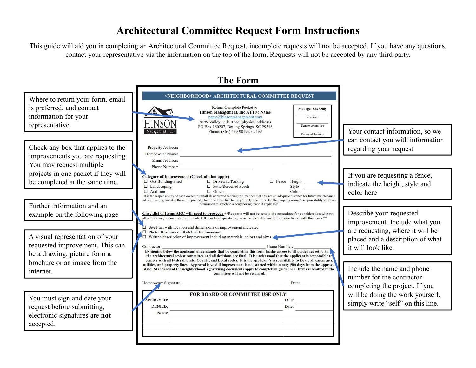## Architectural Committee Request Form Instructions

This guide will aid you in completing an Architectural Committee Request, incomplete requests will not be accepted. If you have any questions, contact your representative via the information on the top of the form. Requests will not be accepted by any third party.

The Form Where to return your form, email **No. 2016** SNEIGHBORHOOD> ARCHITECTURAL COMMITTEE REQUEST is preferred, and contact Return Complete Packet to: **Manager Use Only Hinson Management, Inc ATTN: Name** information for your  $name@hinsonmanagement.com$ Received representative.<br>Management, Inc.<br>Phone: (864) 599-9019 ext. 1## Received decision can contact you with information Check any box that applies to the reperty Address: <u>Fronte Address:</u> environment and regarding your request improvements you are requesting. Homeowner Name: You may request multiple projects in one packet if they will Category of Improvement (Check all that apply) If you are requesting a fence, be completed at the same time.  $\Box$  Driveway/Parking □ Fence Height indicate the height, style and □ Patio/Screened Porch Style  $\Box$  Addition  $\Box$  Other: Color color here It is the responsibility of each owner to install all approved fencing in a manner that ensures an adequate distance for future maintenance of said fencing and also the entire property from the fence line to the property line. It is also the property owner's responsibility to obtain Further information and an permission to attach to a neighboring fence if applicable. example on the following page Sheeklist of Items ARC will need to proceed: \*\*Requests will not be sent to the committee for consideration without all supporting documentation included. If you have questions, please refer t Describe your requested improvement. Include what you Ò Site Plan with location and dimensions of improvement indicated are requesting, where it will be A visual representation of your **COM** Photo, Brochure or Sketch of Improvement including materials, colors and sizes placed and a description of what requested improvement. This can<br>By signing below the applicant understands that by completing this form he/she agrees to all guidelines set forth it will look like. Phone Number: be a drawing, picture form a set of the architectural review committee and all decisions are final. It is understood that the applicant is responsible to the architectural review committee and all decisions are final. It i brochure or an image from the standards of the neighborhood's governing documents apply to completion guidelines. It is the applicant's responsibility to locate all easements,<br>into most complete. Standards of the neighborh Include the name and phone internet. committee will not be returned. number for the contractor Homeowner Signature: Date: completing the project. If you will be doing the work yourself, FOR BOARD OR COMMITTEE USE ONLY You must sign and date your Date: simply write "self" on this line. request before submitting, Date: electronic signatures are not accepted.